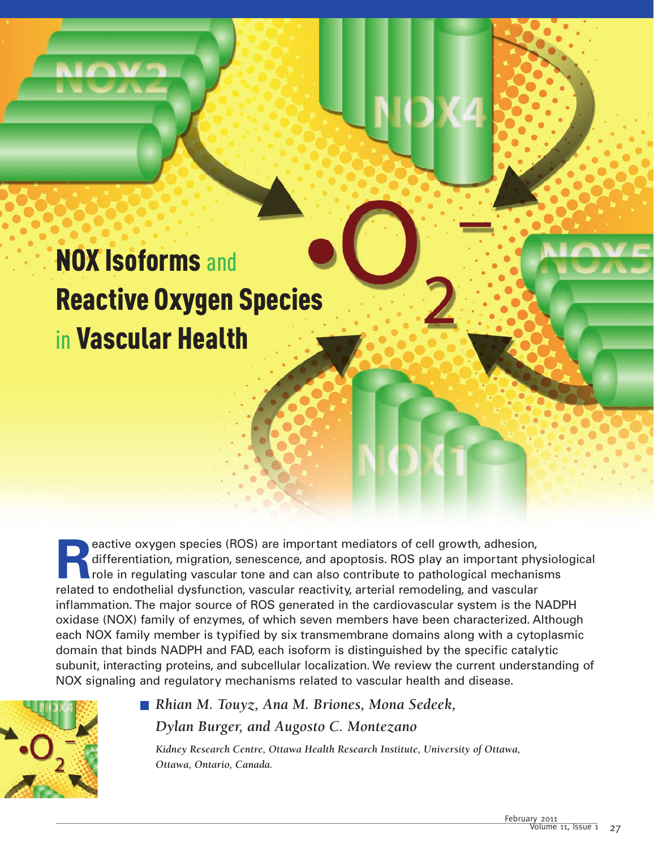# NOX Isoforms and Reactive Oxygen Species in Vascular Health

**Reactive oxygen species (ROS) are important mediators of cell growth, adhesion, differentiation, migration, senescence, and apoptosis. ROS play an important phy role in regulating vascular tone and can also contribute to** differentiation, migration, senescence, and apoptosis. ROS play an important physiological role in regulating vascular tone and can also contribute to pathological mechanisms related to endothelial dysfunction, vascular reactivity, arterial remodeling, and vascular inflammation. The major source of ROS generated in the cardiovascular system is the NADPH oxidase (NOX) family of enzymes, of which seven members have been characterized. Although each NOX family member is typified by six transmembrane domains along with a cytoplasmic domain that binds NADPH and FAD, each isoform is distinguished by the specific catalytic subunit, interacting proteins, and subcellular localization. We review the current understanding of NOX signaling and regulatory mechanisms related to vascular health and disease.



# ■ Rhian M. Touyz, Ana M. Briones, Mona Sedeek, *Dylan Burger, and Augosto C. Montezano*

*Kidney Research Centre, Ottawa Health Research Institute, University of Ottawa, Ottawa, Ontario, Canada.*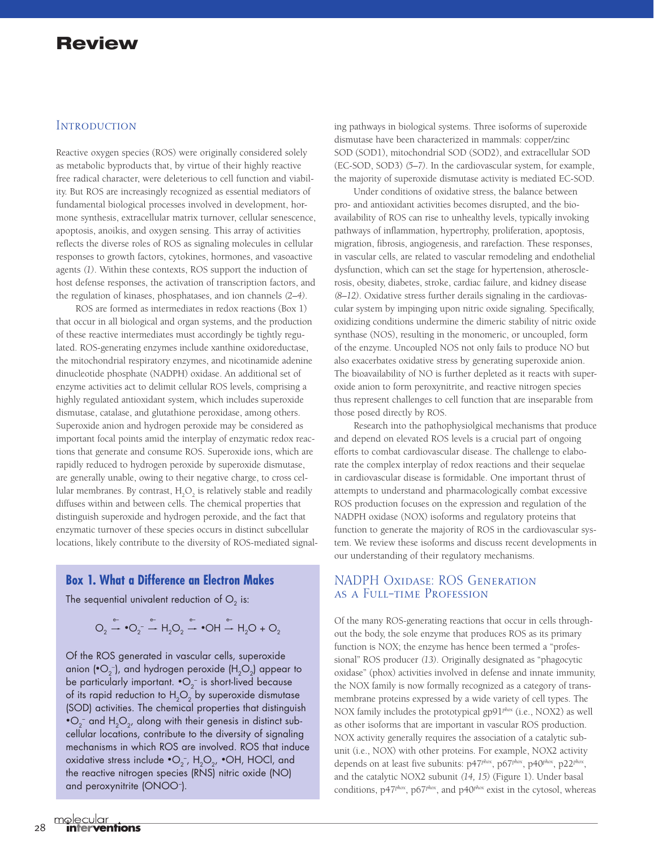## **INTRODUCTION**

Reactive oxygen species (ROS) were originally considered solely as metabolic byproducts that, by virtue of their highly reactive free radical character, were deleterious to cell function and viability. But ROS are increasingly recognized as essential mediators of fundamental biological processes involved in development, hormone synthesis, extracellular matrix turnover, cellular senescence, apoptosis, anoikis, and oxygen sensing. This array of activities reflects the diverse roles of ROS as signaling molecules in cellular responses to growth factors, cytokines, hormones, and vasoactive agents *(1)*. Within these contexts, ROS support the induction of host defense responses, the activation of transcription factors, and the regulation of kinases, phosphatases, and ion channels *(2–4)*.

ROS are formed as intermediates in redox reactions (Box 1) that occur in all biological and organ systems, and the production of these reactive intermediates must accordingly be tightly regulated. ROS-generating enzymes include xanthine oxidoreductase, the mitochondrial respiratory enzymes, and nicotinamide adenine dinucleotide phosphate (NADPH) oxidase. An additional set of enzyme activities act to delimit cellular ROS levels, comprising a highly regulated antioxidant system, which includes superoxide dismutase, catalase, and glutathione peroxidase, among others. Superoxide anion and hydrogen peroxide may be considered as important focal points amid the interplay of enzymatic redox reactions that generate and consume ROS. Superoxide ions, which are rapidly reduced to hydrogen peroxide by superoxide dismutase, are generally unable, owing to their negative charge, to cross cellular membranes. By contrast,  $H_2O_2$  is relatively stable and readily diffuses within and between cells. The chemical properties that distinguish superoxide and hydrogen peroxide, and the fact that enzymatic turnover of these species occurs in distinct subcellular locations, likely contribute to the diversity of ROS-mediated signal-

## **Box 1. What a Difference an Electron Makes**

The sequential univalent reduction of  $O<sub>2</sub>$  is:

$$
O_2 \xrightarrow{\mathsf{e}^-} \bullet O_2 \xrightarrow{\mathsf{e}^-} H_2O_2 \xrightarrow{\mathsf{e}^-} \bullet OH \xrightarrow{\mathsf{e}^-} H_2O + O_2
$$

Of the ROS generated in vascular cells, superoxide anion (•O $_2$ -), and hydrogen peroxide (H $_2$ O $_2$ ) appear to be particularly important.  $\mathbf{\bullet} \mathsf{O}_2^{\mathsf{-}}$  is short-lived because of its rapid reduction to  $H_2O_2$  by superoxide dismutase (SOD) activities. The chemical properties that distinguish  $\textnormal{\textbf{O}}_2^-$  and  $\textnormal{\textbf{H}}_2\textnormal{\textbf{O}}_2$ , along with their genesis in distinct subcellular locations, contribute to the diversity of signaling mechanisms in which ROS are involved. ROS that induce oxidative stress include  $\bullet$ O<sub>2</sub>, H<sub>2</sub>O<sub>2</sub>,  $\bullet$ OH, HOCl, and the reactive nitrogen species (RNS) nitric oxide (NO) and peroxynitrite (ONOO– ).

ing pathways in biological systems. Three isoforms of superoxide dismutase have been characterized in mammals: copper/zinc SOD (SOD1), mitochondrial SOD (SOD2), and extracellular SOD (EC-SOD, SOD3) *(5–7)*. In the cardiovascular system, for example, the majority of superoxide dismutase activity is mediated EC-SOD.

Under conditions of oxidative stress, the balance between pro- and antioxidant activities becomes disrupted, and the bioavailability of ROS can rise to unhealthy levels, typically invoking pathways of inflammation, hypertrophy, proliferation, apoptosis, migration, fibrosis, angiogenesis, and rarefaction. These responses, in vascular cells, are related to vascular remodeling and endothelial dysfunction, which can set the stage for hypertension, atherosclerosis, obesity, diabetes, stroke, cardiac failure, and kidney disease *(8–12)*. Oxidative stress further derails signaling in the cardiovascular system by impinging upon nitric oxide signaling. Specifically, oxidizing conditions undermine the dimeric stability of nitric oxide synthase (NOS), resulting in the monomeric, or uncoupled, form of the enzyme. Uncoupled NOS not only fails to produce NO but also exacerbates oxidative stress by generating superoxide anion. The bioavailability of NO is further depleted as it reacts with superoxide anion to form peroxynitrite, and reactive nitrogen species thus represent challenges to cell function that are inseparable from those posed directly by ROS.

Research into the pathophysiolgical mechanisms that produce and depend on elevated ROS levels is a crucial part of ongoing efforts to combat cardiovascular disease. The challenge to elaborate the complex interplay of redox reactions and their sequelae in cardiovascular disease is formidable. One important thrust of attempts to understand and pharmacologically combat excessive ROS production focuses on the expression and regulation of the NADPH oxidase (NOX) isoforms and regulatory proteins that function to generate the majority of ROS in the cardiovascular system. We review these isoforms and discuss recent developments in our understanding of their regulatory mechanisms.

## NADPH Oxidase: ROS Generation as a Full-time Profession

Of the many ROS-generating reactions that occur in cells throughout the body, the sole enzyme that produces ROS as its primary function is NOX; the enzyme has hence been termed a "professional" ROS producer *(13)*. Originally designated as "phagocytic oxidase" (phox) activities involved in defense and innate immunity, the NOX family is now formally recognized as a category of transmembrane proteins expressed by a wide variety of cell types. The NOX family includes the prototypical gp91*phox* (i.e., NOX2) as well as other isoforms that are important in vascular ROS production. NOX activity generally requires the association of a catalytic subunit (i.e., NOX) with other proteins. For example, NOX2 activity depends on at least five subunits: p47*phox*, p67*phox*, p40*phox*, p22*phox*, and the catalytic NOX2 subunit *(14, 15)* (Figure 1). Under basal conditions, p47*phox*, p67*phox*, and p40*phox* exist in the cytosol, whereas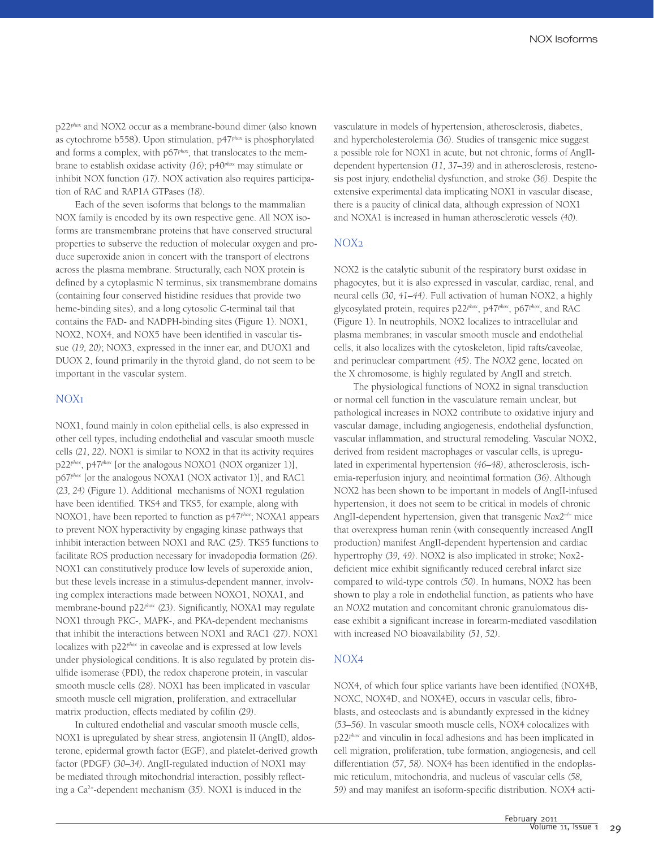p22*phox* and NOX2 occur as a membrane-bound dimer (also known as cytochrome b558). Upon stimulation, p47*phox* is phosphorylated and forms a complex, with p67<sup>*phox*</sup>, that translocates to the membrane to establish oxidase activity *(16)*; p40*phox* may stimulate or inhibit NOX function *(17)*. NOX activation also requires participation of RAC and RAP1A GTPases *(18)*.

Each of the seven isoforms that belongs to the mammalian NOX family is encoded by its own respective gene. All NOX isoforms are transmembrane proteins that have conserved structural properties to subserve the reduction of molecular oxygen and produce superoxide anion in concert with the transport of electrons across the plasma membrane. Structurally, each NOX protein is defined by a cytoplasmic N terminus, six transmembrane domains (containing four conserved histidine residues that provide two heme-binding sites), and a long cytosolic C-terminal tail that contains the FAD- and NADPH-binding sites (Figure 1). NOX1, NOX2, NOX4, and NOX5 have been identified in vascular tissue *(19, 20)*; NOX3, expressed in the inner ear, and DUOX1 and DUOX 2, found primarily in the thyroid gland, do not seem to be important in the vascular system.

#### NOX1

NOX1, found mainly in colon epithelial cells, is also expressed in other cell types, including endothelial and vascular smooth muscle cells *(21, 22)*. NOX1 is similar to NOX2 in that its activity requires p22<sup>*phox*</sup>, p47<sup>*phox*</sup> [or the analogous NOXO1 (NOX organizer 1)], p67<sup>phox</sup> [or the analogous NOXA1 (NOX activator 1)], and RAC1 *(23, 24)* (Figure 1). Additional mechanisms of NOX1 regulation have been identified. TKS4 and TKS5, for example, along with NOXO1, have been reported to function as p47*phox*; NOXA1 appears to prevent NOX hyperactivity by engaging kinase pathways that inhibit interaction between NOX1 and RAC *(25)*. TKS5 functions to facilitate ROS production necessary for invadopodia formation *(26)*. NOX1 can constitutively produce low levels of superoxide anion, but these levels increase in a stimulus-dependent manner, involving complex interactions made between NOXO1, NOXA1, and membrane-bound p22*phox (23)*. Significantly, NOXA1 may regulate NOX1 through PKC-, MAPK-, and PKA-dependent mechanisms that inhibit the interactions between NOX1 and RAC1 *(27)*. NOX1 localizes with p22*phox* in caveolae and is expressed at low levels under physiological conditions. It is also regulated by protein disulfide isomerase (PDI), the redox chaperone protein, in vascular smooth muscle cells *(28)*. NOX1 has been implicated in vascular smooth muscle cell migration, proliferation, and extracellular matrix production, effects mediated by cofilin *(29)*.

In cultured endothelial and vascular smooth muscle cells, NOX1 is upregulated by shear stress, angiotensin II (AngII), aldosterone, epidermal growth factor (EGF), and platelet-derived growth factor (PDGF) *(30–34)*. AngII-regulated induction of NOX1 may be mediated through mitochondrial interaction, possibly reflecting a Ca2+-dependent mechanism *(35)*. NOX1 is induced in the

vasculature in models of hypertension, atherosclerosis, diabetes, and hypercholesterolemia *(36)*. Studies of transgenic mice suggest a possible role for NOX1 in acute, but not chronic, forms of AngIIdependent hypertension *(11, 37–39)* and in atherosclerosis, restenosis post injury, endothelial dysfunction, and stroke *(36)*. Despite the extensive experimental data implicating NOX1 in vascular disease, there is a paucity of clinical data, although expression of NOX1 and NOXA1 is increased in human atherosclerotic vessels *(40)*.

#### NOX2

NOX2 is the catalytic subunit of the respiratory burst oxidase in phagocytes, but it is also expressed in vascular, cardiac, renal, and neural cells *(30, 41–44)*. Full activation of human NOX2, a highly glycosylated protein, requires p22*phox*, p47*phox*, p67*phox*, and RAC (Figure 1). In neutrophils, NOX2 localizes to intracellular and plasma membranes; in vascular smooth muscle and endothelial cells, it also localizes with the cytoskeleton, lipid rafts/caveolae, and perinuclear compartment *(45)*. The *NOX2* gene, located on the X chromosome, is highly regulated by AngII and stretch.

The physiological functions of NOX2 in signal transduction or normal cell function in the vasculature remain unclear, but pathological increases in NOX2 contribute to oxidative injury and vascular damage, including angiogenesis, endothelial dysfunction, vascular inflammation, and structural remodeling. Vascular NOX2, derived from resident macrophages or vascular cells, is upregulated in experimental hypertension *(46–48)*, atherosclerosis, ischemia-reperfusion injury, and neointimal formation *(36)*. Although NOX2 has been shown to be important in models of AngII-infused hypertension, it does not seem to be critical in models of chronic AngII-dependent hypertension, given that transgenic *Nox2<sup>-/-</sup>* mice that overexpress human renin (with consequently increased AngII production) manifest AngII-dependent hypertension and cardiac hypertrophy *(39, 49)*. NOX2 is also implicated in stroke; Nox2 deficient mice exhibit significantly reduced cerebral infarct size compared to wild-type controls *(50)*. In humans, NOX2 has been shown to play a role in endothelial function, as patients who have an *NOX2* mutation and concomitant chronic granulomatous disease exhibit a significant increase in forearm-mediated vasodilation with increased NO bioavailability *(51, 52)*.

#### NOX4

NOX4, of which four splice variants have been identified (NOX4B, NOXC, NOX4D, and NOX4E), occurs in vascular cells, fibroblasts, and osteoclasts and is abundantly expressed in the kidney *(53–56)*. In vascular smooth muscle cells, NOX4 colocalizes with p22*phox* and vinculin in focal adhesions and has been implicated in cell migration, proliferation, tube formation, angiogenesis, and cell differentiation *(57, 58)*. NOX4 has been identified in the endoplasmic reticulum, mitochondria, and nucleus of vascular cells *(58, 59)* and may manifest an isoform-specific distribution. NOX4 acti-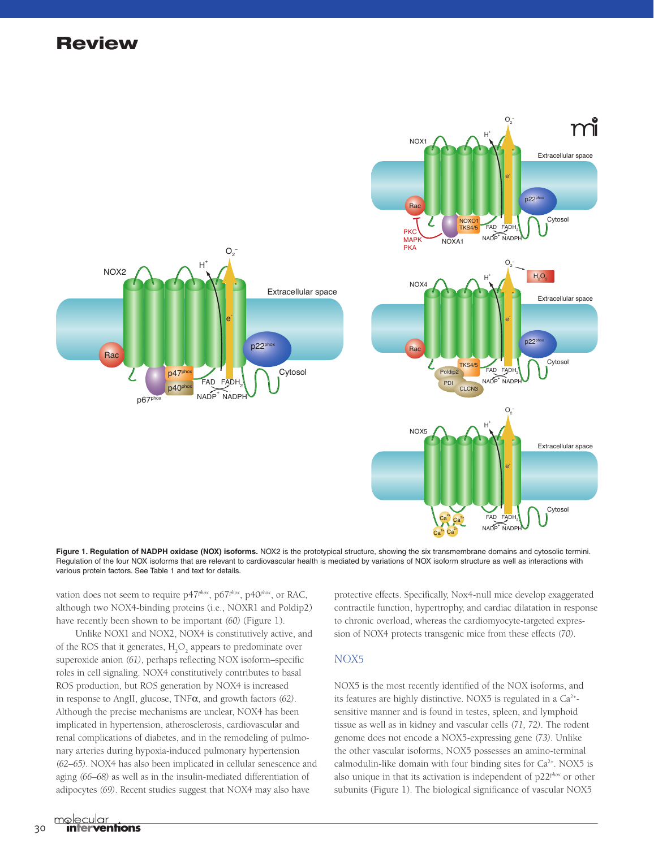

**Figure 1. Regulation of NADPH oxidase (NOX) isoforms.** NOX2 is the prototypical structure, showing the six transmembrane domains and cytosolic termini. Regulation of the four NOX isoforms that are relevant to cardiovascular health is mediated by variations of NOX isoform structure as well as interactions with various protein factors. See Table 1 and text for details.

vation does not seem to require p47<sup>*phox*</sup>, p67<sup>*phox*</sup>, p40<sup>*phox*</sup>, or RAC, although two NOX4-binding proteins (i.e., NOXR1 and Poldip2) have recently been shown to be important *(60)* (Figure 1).

Unlike NOX1 and NOX2, NOX4 is constitutively active, and of the ROS that it generates,  $H_2O_2$  appears to predominate over superoxide anion *(61)*, perhaps reflecting NOX isoform–specific roles in cell signaling. NOX4 constitutively contributes to basal ROS production, but ROS generation by NOX4 is increased in response to AngII, glucose, TNFα, and growth factors *(62)*. Although the precise mechanisms are unclear, NOX4 has been implicated in hypertension, atherosclerosis, cardiovascular and renal complications of diabetes, and in the remodeling of pulmonary arteries during hypoxia-induced pulmonary hypertension *(62–65)*. NOX4 has also been implicated in cellular senescence and aging *(66–68)* as well as in the insulin-mediated differentiation of adipocytes *(69)*. Recent studies suggest that NOX4 may also have

protective effects. Specifically, Nox4-null mice develop exaggerated contractile function, hypertrophy, and cardiac dilatation in response to chronic overload, whereas the cardiomyocyte-targeted expression of NOX4 protects transgenic mice from these effects *(70)*.

#### NOX5

NOX5 is the most recently identified of the NOX isoforms, and its features are highly distinctive. NOX5 is regulated in a  $Ca^{2+}$ sensitive manner and is found in testes, spleen, and lymphoid tissue as well as in kidney and vascular cells *(71, 72)*. The rodent genome does not encode a NOX5-expressing gene *(73)*. Unlike the other vascular isoforms, NOX5 possesses an amino-terminal calmodulin-like domain with four binding sites for  $Ca<sup>2+</sup>$ . NOX5 is also unique in that its activation is independent of p22*phox* or other subunits (Figure 1). The biological significance of vascular NOX5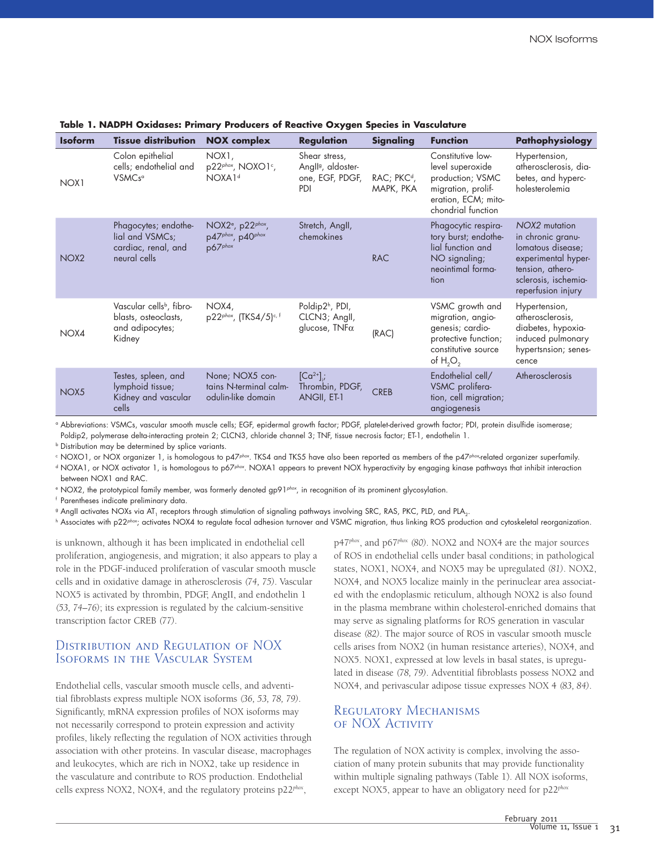| <b>Isoform</b>   | <b>Tissue distribution</b>                                                                | <b>NOX</b> complex                                                                   | <b>Regulation</b>                                                         | Signaling                            | <b>Function</b>                                                                                                              | Pathophysiology                                                                                                                                  |
|------------------|-------------------------------------------------------------------------------------------|--------------------------------------------------------------------------------------|---------------------------------------------------------------------------|--------------------------------------|------------------------------------------------------------------------------------------------------------------------------|--------------------------------------------------------------------------------------------------------------------------------------------------|
| NOX <sub>1</sub> | Colon epithelial<br>cells; endothelial and<br>VSMC <sub>s<sup>a</sup></sub>               | NOX1,<br>p22phox, NOXO1c,<br>NOXA1 <sup>d</sup>                                      | Shear stress,<br>Angll <sup>g</sup> , aldoster-<br>one, EGF, PDGF,<br>PDI | RAC; PKC <sup>d</sup> ,<br>MAPK, PKA | Constitutive low-<br>level superoxide<br>production; VSMC<br>migration, prolif-<br>eration, ECM; mito-<br>chondrial function | Hypertension,<br>atherosclerosis, dia-<br>betes, and hyperc-<br>holesterolemia                                                                   |
| NOX <sub>2</sub> | Phagocytes; endothe-<br>lial and VSMCs;<br>cardiac, renal, and<br>neural cells            | NOX2 <sup>e</sup> , p22 <sup>phox</sup> ,<br>p47phox, p40phox<br>p67 <sub>phox</sub> | Stretch, Angll,<br>chemokines                                             | <b>RAC</b>                           | Phagocytic respira-<br>tory burst; endothe-<br>lial function and<br>NO signaling;<br>neointimal forma-<br>tion               | NOX2 mutation<br>in chronic granu-<br>lomatous disease;<br>experimental hyper-<br>tension, athero-<br>sclerosis, ischemia-<br>reperfusion injury |
| NOX4             | Vascular cells <sup>b</sup> , fibro-<br>blasts, osteoclasts,<br>and adipocytes;<br>Kidney | NOX4,<br>p22phox, (TKS4/5)c, f                                                       | Poldip2 <sup>h</sup> , PDI,<br>CLCN3; Angll,<br>glucose, $TNF\alpha$      | (RAC)                                | VSMC growth and<br>migration, angio-<br>genesis; cardio-<br>protective function;<br>constitutive source<br>of $H_2O_2$       | Hypertension,<br>atherosclerosis,<br>diabetes, hypoxia-<br>induced pulmonary<br>hypertsnsion; senes-<br>cence                                    |
| NOX5             | Testes, spleen, and<br>lymphoid tissue;<br>Kidney and vascular<br>cells                   | None; NOX5 con-<br>tains N-terminal calm-<br>odulin-like domain                      | $[Ca^{2+}]$ ;<br>Thrombin, PDGF,<br>ANGII, ET-1                           | <b>CREB</b>                          | Endothelial cell/<br>VSMC prolifera-<br>tion, cell migration;<br>angiogenesis                                                | Atherosclerosis                                                                                                                                  |

#### **Table 1. NADPH Oxidases: Primary Producers of Reactive Oxygen Species in Vasculature**

<sup>a</sup> Abbreviations: VSMCs, vascular smooth muscle cells; EGF, epidermal growth factor; PDGF, platelet-derived growth factor; PDI, protein disulfide isomerase; Poldip2, polymerase delta-interacting protein 2; CLCN3, chloride channel 3; TNF, tissue necrosis factor; ET-1, endothelin 1.

**b** Distribution may be determined by splice variants.

c NOXO1, or NOX organizer 1, is homologous to p47<sup>phox</sup>. TKS4 and TKS5 have also been reported as members of the p47<sup>phox</sup>-related organizer superfamily.

d NOXA1, or NOX activator 1, is homologous to p67<sup>phox</sup>. NOXA1 appears to prevent NOX hyperactivity by engaging kinase pathways that inhibit interaction between NOX1 and RAC.

e NOX2, the prototypical family member, was formerly denoted gp91<sup>phox</sup>, in recognition of its prominent glycosylation.

<sup>f</sup> Parentheses indicate preliminary data.

<sup>9</sup> AngII activates NOXs via AT<sub>1</sub> receptors through stimulation of signaling pathways involving SRC, RAS, PKC, PLD, and PLA<sub>2</sub>.

h Associates with p22<sup>phox</sup>; activates NOX4 to regulate focal adhesion turnover and VSMC migration, thus linking ROS production and cytoskeletal reorganization.

is unknown, although it has been implicated in endothelial cell proliferation, angiogenesis, and migration; it also appears to play a role in the PDGF-induced proliferation of vascular smooth muscle cells and in oxidative damage in atherosclerosis *(74, 75)*. Vascular NOX5 is activated by thrombin, PDGF, AngII, and endothelin 1 *(53, 74–76)*; its expression is regulated by the calcium-sensitive transcription factor CREB *(77)*.

## Distribution and Regulation of NOX Isoforms in the Vascular System

Endothelial cells, vascular smooth muscle cells, and adventitial fibroblasts express multiple NOX isoforms *(36, 53, 78, 79)*. Significantly, mRNA expression profiles of NOX isoforms may not necessarily correspond to protein expression and activity profiles, likely reflecting the regulation of NOX activities through association with other proteins. In vascular disease, macrophages and leukocytes, which are rich in NOX2, take up residence in the vasculature and contribute to ROS production. Endothelial cells express NOX2, NOX4, and the regulatory proteins p22*phox*,

p47*phox*, and p67*phox (80)*. NOX2 and NOX4 are the major sources of ROS in endothelial cells under basal conditions; in pathological states, NOX1, NOX4, and NOX5 may be upregulated *(81)*. NOX2, NOX4, and NOX5 localize mainly in the perinuclear area associated with the endoplasmic reticulum, although NOX2 is also found in the plasma membrane within cholesterol-enriched domains that may serve as signaling platforms for ROS generation in vascular disease *(82)*. The major source of ROS in vascular smooth muscle cells arises from NOX2 (in human resistance arteries), NOX4, and NOX5. NOX1, expressed at low levels in basal states, is upregulated in disease *(78, 79)*. Adventitial fibroblasts possess NOX2 and NOX4, and perivascular adipose tissue expresses NOX 4 *(83, 84)*.

## Regulatory Mechanisms of NOX Activity

The regulation of NOX activity is complex, involving the association of many protein subunits that may provide functionality within multiple signaling pathways (Table 1). All NOX isoforms, except NOX5, appear to have an obligatory need for p22*phox*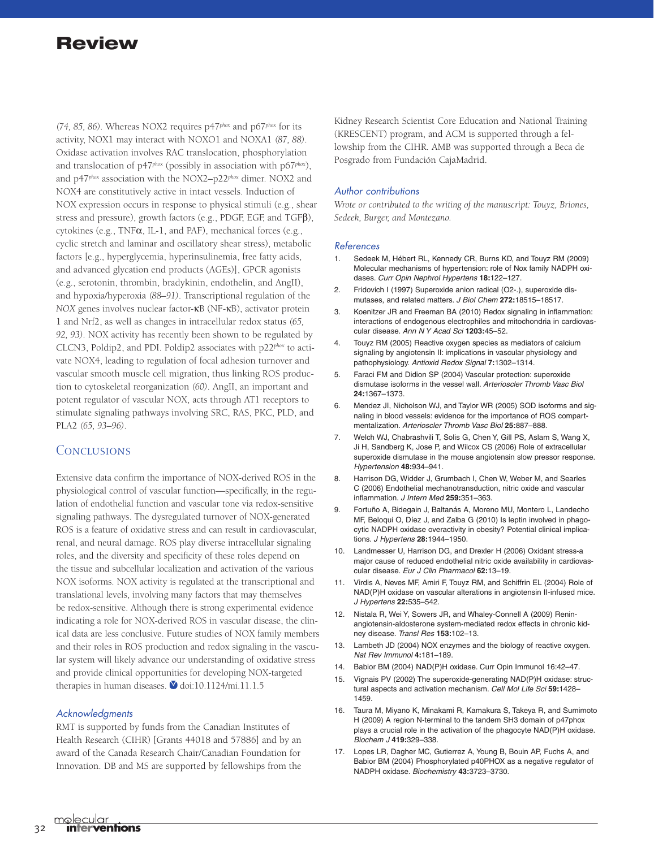*(74, 85, 86)*. Whereas NOX2 requires p47*phox* and p67*phox* for its activity, NOX1 may interact with NOXO1 and NOXA1 *(87, 88)*. Oxidase activation involves RAC translocation, phosphorylation and translocation of p47*phox* (possibly in association with p67*phox*), and p47*phox* association with the NOX2–p22*phox* dimer. NOX2 and NOX4 are constitutively active in intact vessels. Induction of NOX expression occurs in response to physical stimuli (e.g., shear stress and pressure), growth factors (e.g., PDGF, EGF, and TGFβ), cytokines (e.g., TNFα, IL-1, and PAF), mechanical forces (e.g., cyclic stretch and laminar and oscillatory shear stress), metabolic factors [e.g., hyperglycemia, hyperinsulinemia, free fatty acids, and advanced glycation end products (AGEs)], GPCR agonists (e.g., serotonin, thrombin, bradykinin, endothelin, and AngII), and hypoxia/hyperoxia *(88–91)*. Transcriptional regulation of the *NOX* genes involves nuclear factor-κB (NF-κB), activator protein 1 and Nrf2, as well as changes in intracellular redox status *(65, 92, 93)*. NOX activity has recently been shown to be regulated by CLCN3, Poldip2, and PDI. Poldip2 associates with p22*phox* to activate NOX4, leading to regulation of focal adhesion turnover and vascular smooth muscle cell migration, thus linking ROS production to cytoskeletal reorganization *(60)*. AngII, an important and potent regulator of vascular NOX, acts through AT1 receptors to stimulate signaling pathways involving SRC, RAS, PKC, PLD, and PLA2 *(65, 93–96)*.

## **CONCLUSIONS**

Extensive data confirm the importance of NOX-derived ROS in the physiological control of vascular function—specifically, in the regulation of endothelial function and vascular tone via redox-sensitive signaling pathways. The dysregulated turnover of NOX-generated ROS is a feature of oxidative stress and can result in cardiovascular, renal, and neural damage. ROS play diverse intracellular signaling roles, and the diversity and specificity of these roles depend on the tissue and subcellular localization and activation of the various NOX isoforms. NOX activity is regulated at the transcriptional and translational levels, involving many factors that may themselves be redox-sensitive. Although there is strong experimental evidence indicating a role for NOX-derived ROS in vascular disease, the clinical data are less conclusive. Future studies of NOX family members and their roles in ROS production and redox signaling in the vascular system will likely advance our understanding of oxidative stress and provide clinical opportunities for developing NOX-targeted therapies in human diseases.  $\bullet$  doi:10.1124/mi.11.1.5

#### **Acknowledgments**

RMT is supported by funds from the Canadian Institutes of Health Research (CIHR) [Grants 44018 and 57886] and by an award of the Canada Research Chair/Canadian Foundation for Innovation. DB and MS are supported by fellowships from the

Kidney Research Scientist Core Education and National Training (KRESCENT) program, and ACM is supported through a fellowship from the CIHR. AMB was supported through a Beca de Posgrado from Fundación CajaMadrid.

#### Author contributions

*Wrote or contributed to the writing of the manuscript: Touyz, Briones, Sedeek, Burger, and Montezano.*

#### References

- 1. Sedeek M, Hébert RL, Kennedy CR, Burns KD, and Touyz RM (2009) Molecular mechanisms of hypertension: role of Nox family NADPH oxidases. *Curr Opin Nephrol Hypertens* **18:**122–127.
- 2. Fridovich I (1997) Superoxide anion radical (O2-.), superoxide dismutases, and related matters. *J Biol Chem* **272:**18515–18517.
- 3. Koenitzer JR and Freeman BA (2010) Redox signaling in inflammation: interactions of endogenous electrophiles and mitochondria in cardiovascular disease. *Ann N Y Acad Sci* **1203:**45–52.
- 4. Touyz RM (2005) Reactive oxygen species as mediators of calcium signaling by angiotensin II: implications in vascular physiology and pathophysiology. *Antioxid Redox Signal* **7:**1302–1314.
- 5. Faraci FM and Didion SP (2004) Vascular protection: superoxide dismutase isoforms in the vessel wall. *Arterioscler Thromb Vasc Biol* **24:**1367–1373.
- 6. Mendez JI, Nicholson WJ, and Taylor WR (2005) SOD isoforms and signaling in blood vessels: evidence for the importance of ROS compartmentalization. *Arterioscler Thromb Vasc Biol* **25:**887–888.
- 7. Welch WJ, Chabrashvili T, Solis G, Chen Y, Gill PS, Aslam S, Wang X, Ji H, Sandberg K, Jose P, and Wilcox CS (2006) Role of extracellular superoxide dismutase in the mouse angiotensin slow pressor response. *Hypertension* **48:**934–941.
- 8. Harrison DG, Widder J, Grumbach I, Chen W, Weber M, and Searles C (2006) Endothelial mechanotransduction, nitric oxide and vascular inflammation. *J Intern Med* **259:**351–363.
- 9. Fortuño A, Bidegain J, Baltanás A, Moreno MU, Montero L, Landecho MF, Beloqui O, Díez J, and Zalba G (2010) Is leptin involved in phagocytic NADPH oxidase overactivity in obesity? Potential clinical implications. *J Hypertens* **28:**1944–1950.
- 10. Landmesser U, Harrison DG, and Drexler H (2006) Oxidant stress-a major cause of reduced endothelial nitric oxide availability in cardiovascular disease. *Eur J Clin Pharmacol* **62:**13–19.
- 11. Virdis A, Neves MF, Amiri F, Touyz RM, and Schiffrin EL (2004) Role of NAD(P)H oxidase on vascular alterations in angiotensin II-infused mice. *J Hypertens* **22:**535–542.
- 12. Nistala R, Wei Y, Sowers JR, and Whaley-Connell A (2009) Reninangiotensin-aldosterone system-mediated redox effects in chronic kidney disease. *Transl Res* **153:**102–13.
- 13. Lambeth JD (2004) NOX enzymes and the biology of reactive oxygen. *Nat Rev Immunol* **4:**181–189.
- 14. Babior BM (2004) NAD(P)H oxidase. Curr Opin Immunol 16:42–47.
- 15. Vignais PV (2002) The superoxide-generating NAD(P)H oxidase: structural aspects and activation mechanism. *Cell Mol Life Sci* **59:**1428– 1459.
- 16. Taura M, Miyano K, Minakami R, Kamakura S, Takeya R, and Sumimoto H (2009) A region N-terminal to the tandem SH3 domain of p47phox plays a crucial role in the activation of the phagocyte NAD(P)H oxidase. *Biochem J* **419:**329–338.
- 17. Lopes LR, Dagher MC, Gutierrez A, Young B, Bouin AP, Fuchs A, and Babior BM (2004) Phosphorylated p40PHOX as a negative regulator of NADPH oxidase. *Biochemistry* **43:**3723–3730.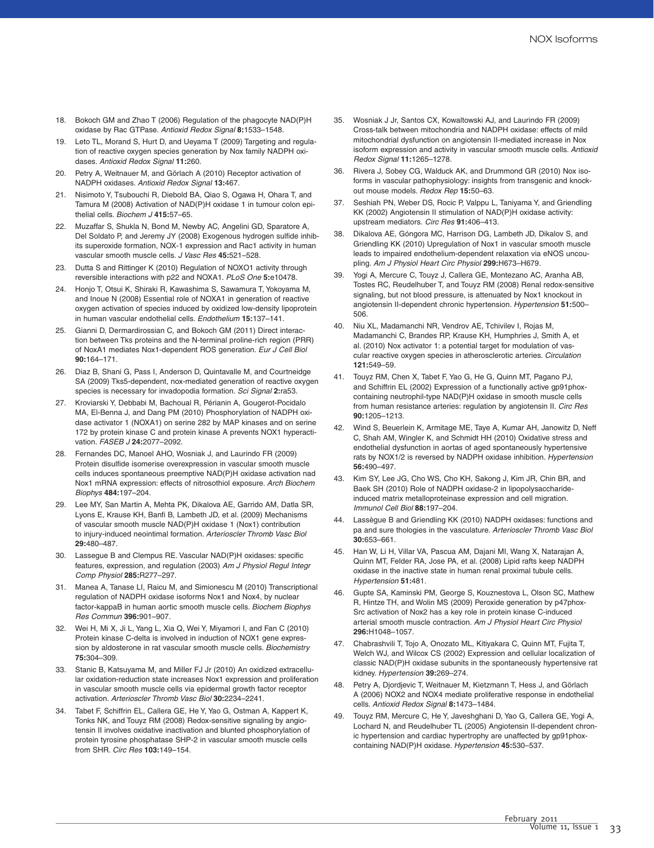- 18. Bokoch GM and Zhao T (2006) Regulation of the phagocyte NAD(P)H oxidase by Rac GTPase. *Antioxid Redox Signal* **8:**1533–1548.
- 19. Leto TL, Morand S, Hurt D, and Ueyama T (2009) Targeting and regulation of reactive oxygen species generation by Nox family NADPH oxidases. *Antioxid Redox Signal* **11:**260.
- 20. Petry A, Weitnauer M, and Görlach A (2010) Receptor activation of NADPH oxidases. *Antioxid Redox Signal* **13:**467.
- 21. Nisimoto Y, Tsubouchi R, Diebold BA, Qiao S, Ogawa H, Ohara T, and Tamura M (2008) Activation of NAD(P)H oxidase 1 in tumour colon epithelial cells. *Biochem J* **415:**57–65.
- 22. Muzaffar S, Shukla N, Bond M, Newby AC, Angelini GD, Sparatore A, Del Soldato P, and Jeremy JY (2008) Exogenous hydrogen sulfide inhibits superoxide formation, NOX-1 expression and Rac1 activity in human vascular smooth muscle cells. *J Vasc Res* **45:**521–528.
- 23. Dutta S and Rittinger K (2010) Regulation of NOXO1 activity through reversible interactions with p22 and NOXA1. *PLoS One* **5:**e10478.
- 24. Honjo T, Otsui K, Shiraki R, Kawashima S, Sawamura T, Yokoyama M, and Inoue N (2008) Essential role of NOXA1 in generation of reactive oxygen activation of species induced by oxidized low-density lipoprotein in human vascular endothelial cells. *Endothelium* **15:**137–141.
- 25. Gianni D, Dermardirossian C, and Bokoch GM (2011) Direct interaction between Tks proteins and the N-terminal proline-rich region (PRR) of NoxA1 mediates Nox1-dependent ROS generation. *Eur J Cell Biol* **90:**164–171.
- 26. Diaz B, Shani G, Pass I, Anderson D, Quintavalle M, and Courtneidge SA (2009) Tks5-dependent, nox-mediated generation of reactive oxygen species is necessary for invadopodia formation. *Sci Signal* **2:**ra53.
- 27. Kroviarski Y, Debbabi M, Bachoual R, Périanin A, Gougerot-Pocidalo MA, El-Benna J, and Dang PM (2010) Phosphorylation of NADPH oxidase activator 1 (NOXA1) on serine 282 by MAP kinases and on serine 172 by protein kinase C and protein kinase A prevents NOX1 hyperactivation. *FASEB J* **24:**2077–2092.
- 28. Fernandes DC, Manoel AHO, Wosniak J, and Laurindo FR (2009) Protein disulfide isomerise overexpression in vascular smooth muscle cells induces spontaneous preemptive NAD(P)H oxidase activation nad Nox1 mRNA expression: effects of nitrosothiol exposure. *Arch Biochem Biophys* **484:**197–204.
- 29. Lee MY, San Martin A, Mehta PK, Dikalova AE, Garrido AM, Datla SR, Lyons E, Krause KH, Banfi B, Lambeth JD, et al. (2009) Mechanisms of vascular smooth muscle NAD(P)H oxidase 1 (Nox1) contribution to injury-induced neointimal formation. *Arterioscler Thromb Vasc Biol* **29:**480–487.
- 30. Lassegue B and Clempus RE. Vascular NAD(P)H oxidases: specific features, expression, and regulation (2003) *Am J Physiol Regul Integr Comp Physiol* **285:**R277–297.
- 31. Manea A, Tanase LI, Raicu M, and Simionescu M (2010) Transcriptional regulation of NADPH oxidase isoforms Nox1 and Nox4, by nuclear factor-kappaB in human aortic smooth muscle cells. *Biochem Biophys Res Commun* **396:**901–907.
- 32. Wei H, Mi X, Ji L, Yang L, Xia Q, Wei Y, Miyamori I, and Fan C (2010) Protein kinase C-delta is involved in induction of NOX1 gene expression by aldosterone in rat vascular smooth muscle cells. *Biochemistry* **75:**304–309.
- Stanic B, Katsuyama M, and Miller FJ Jr (2010) An oxidized extracellular oxidation-reduction state increases Nox1 expression and proliferation in vascular smooth muscle cells via epidermal growth factor receptor activation. *Arterioscler Thromb Vasc Biol* **30:**2234–2241.
- 34. Tabet F, Schiffrin EL, Callera GE, He Y, Yao G, Ostman A, Kappert K, Tonks NK, and Touyz RM (2008) Redox-sensitive signaling by angiotensin II involves oxidative inactivation and blunted phosphorylation of protein tyrosine phosphatase SHP-2 in vascular smooth muscle cells from SHR. *Circ Res* **103:**149–154.
- 35. Wosniak J Jr, Santos CX, Kowaltowski AJ, and Laurindo FR (2009) Cross-talk between mitochondria and NADPH oxidase: effects of mild mitochondrial dysfunction on angiotensin II-mediated increase in Nox isoform expression and activity in vascular smooth muscle cells. *Antioxid Redox Signal* **11:**1265–1278.
- 36. Rivera J, Sobey CG, Walduck AK, and Drummond GR (2010) Nox isoforms in vascular pathophysiology: insights from transgenic and knockout mouse models. *Redox Rep* **15:**50–63.
- 37. Seshiah PN, Weber DS, Rocic P, Valppu L, Taniyama Y, and Griendling KK (2002) Angiotensin II stimulation of NAD(P)H oxidase activity: upstream mediators. *Circ Res* **91:**406–413.
- 38. Dikalova AE, Góngora MC, Harrison DG, Lambeth JD, Dikalov S, and Griendling KK (2010) Upregulation of Nox1 in vascular smooth muscle leads to impaired endothelium-dependent relaxation via eNOS uncoupling. *Am J Physiol Heart Circ Physiol* **299:**H673–H679.
- 39. Yogi A, Mercure C, Touyz J, Callera GE, Montezano AC, Aranha AB, Tostes RC, Reudelhuber T, and Touyz RM (2008) Renal redox-sensitive signaling, but not blood pressure, is attenuated by Nox1 knockout in angiotensin II-dependent chronic hypertension. *Hypertension* **51:**500– 506.
- 40. Niu XL, Madamanchi NR, Vendrov AE, Tchivilev I, Rojas M, Madamanchi C, Brandes RP, Krause KH, Humphries J, Smith A, et al. (2010) Nox activator 1: a potential target for modulation of vascular reactive oxygen species in atherosclerotic arteries. *Circulation* **121:**549–59.
- 41. Touyz RM, Chen X, Tabet F, Yao G, He G, Quinn MT, Pagano PJ, and Schiffrin EL (2002) Expression of a functionally active gp91phoxcontaining neutrophil-type NAD(P)H oxidase in smooth muscle cells from human resistance arteries: regulation by angiotensin II. *Circ Res* **90:**1205–1213.
- 42. Wind S, Beuerlein K, Armitage ME, Taye A, Kumar AH, Janowitz D, Neff C, Shah AM, Wingler K, and Schmidt HH (2010) Oxidative stress and endothelial dysfunction in aortas of aged spontaneously hypertensive rats by NOX1/2 is reversed by NADPH oxidase inhibition. *Hypertension* **56:**490–497.
- 43. Kim SY, Lee JG, Cho WS, Cho KH, Sakong J, Kim JR, Chin BR, and Baek SH (2010) Role of NADPH oxidase-2 in lipopolysaccharideinduced matrix metalloproteinase expression and cell migration. *Immunol Cell Biol* **88:**197–204.
- 44. Lassègue B and Griendling KK (2010) NADPH oxidases: functions and pa and sure thologies in the vasculature. *Arterioscler Thromb Vasc Biol* **30:**653–661.
- 45. Han W, Li H, Villar VA, Pascua AM, Dajani MI, Wang X, Natarajan A, Quinn MT, Felder RA, Jose PA, et al. (2008) Lipid rafts keep NADPH oxidase in the inactive state in human renal proximal tubule cells. *Hypertension* **51:**481.
- 46. Gupte SA, Kaminski PM, George S, Kouznestova L, Olson SC, Mathew R, Hintze TH, and Wolin MS (2009) Peroxide generation by p47phox-Src activation of Nox2 has a key role in protein kinase C-induced arterial smooth muscle contraction. *Am J Physiol Heart Circ Physiol* **296:**H1048–1057.
- 47. Chabrashvili T, Tojo A, Onozato ML, Kitiyakara C, Quinn MT, Fujita T, Welch WJ, and Wilcox CS (2002) Expression and cellular localization of classic NAD(P)H oxidase subunits in the spontaneously hypertensive rat kidney. *Hypertension* **39:**269–274.
- 48. Petry A, Djordjevic T, Weitnauer M, Kietzmann T, Hess J, and Görlach A (2006) NOX2 and NOX4 mediate proliferative response in endothelial cells. *Antioxid Redox Signal* **8:**1473–1484.
- 49. Touyz RM, Mercure C, He Y, Javeshghani D, Yao G, Callera GE, Yogi A, Lochard N, and Reudelhuber TL (2005) Angiotensin II-dependent chronic hypertension and cardiac hypertrophy are unaffected by gp91phoxcontaining NAD(P)H oxidase. *Hypertension* **45:**530–537.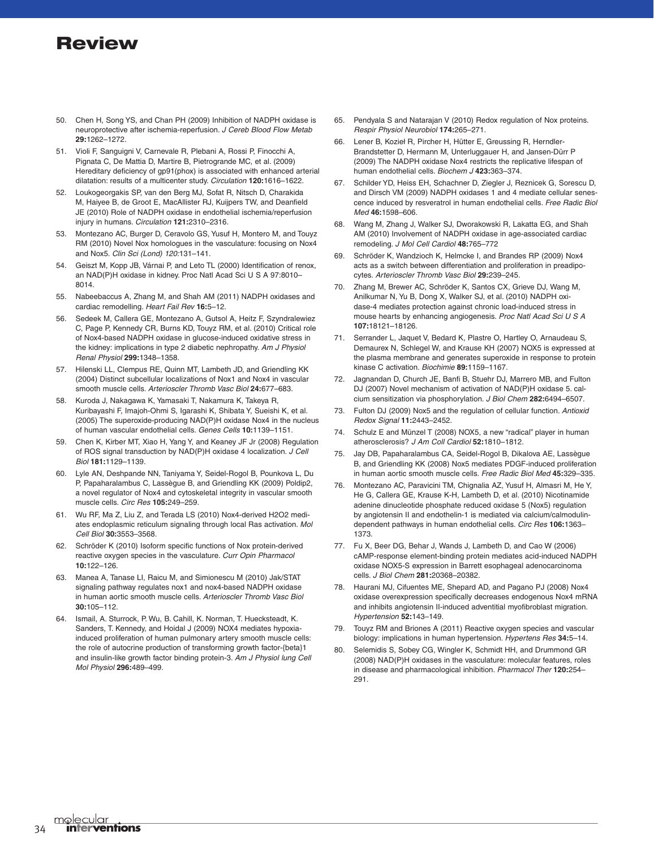- 50. Chen H, Song YS, and Chan PH (2009) Inhibition of NADPH oxidase is neuroprotective after ischemia-reperfusion. *J Cereb Blood Flow Metab* **29:**1262–1272.
- 51. Violi F, Sanguigni V, Carnevale R, Plebani A, Rossi P, Finocchi A, Pignata C, De Mattia D, Martire B, Pietrogrande MC, et al. (2009) Hereditary deficiency of gp91(phox) is associated with enhanced arterial dilatation: results of a multicenter study. *Circulation* **120:**1616–1622.
- 52. Loukogeorgakis SP, van den Berg MJ, Sofat R, Nitsch D, Charakida M, Haiyee B, de Groot E, MacAllister RJ, Kuijpers TW, and Deanfield JE (2010) Role of NADPH oxidase in endothelial ischemia/reperfusion injury in humans. *Circulation* **121:**2310–2316.
- 53. Montezano AC, Burger D, Ceravolo GS, Yusuf H, Montero M, and Touyz RM (2010) Novel Nox homologues in the vasculature: focusing on Nox4 and Nox5. *Clin Sci (Lond) 120:*131–141.
- 54. Geiszt M, Kopp JB, Várnai P, and Leto TL (2000) Identification of renox, an NAD(P)H oxidase in kidney. Proc Natl Acad Sci U S A 97:8010– 8014.
- 55. Nabeebaccus A, Zhang M, and Shah AM (2011) NADPH oxidases and cardiac remodelling. *Heart Fail Rev* **16:**5–12.
- 56. Sedeek M, Callera GE, Montezano A, Gutsol A, Heitz F, Szyndralewiez C, Page P, Kennedy CR, Burns KD, Touyz RM, et al. (2010) Critical role of Nox4-based NADPH oxidase in glucose-induced oxidative stress in the kidney: implications in type 2 diabetic nephropathy. *Am J Physiol Renal Physiol* **299:**1348–1358.
- 57. Hilenski LL, Clempus RE, Quinn MT, Lambeth JD, and Griendling KK (2004) Distinct subcellular localizations of Nox1 and Nox4 in vascular smooth muscle cells. *Arterioscler Thromb Vasc Biol* **24:**677–683.
- 58. Kuroda J, Nakagawa K, Yamasaki T, Nakamura K, Takeya R, Kuribayashi F, Imajoh-Ohmi S, Igarashi K, Shibata Y, Sueishi K, et al. (2005) The superoxide-producing NAD(P)H oxidase Nox4 in the nucleus of human vascular endothelial cells. *Genes Cells* **10:**1139–1151.
- 59. Chen K, Kirber MT, Xiao H, Yang Y, and Keaney JF Jr (2008) Regulation of ROS signal transduction by NAD(P)H oxidase 4 localization. *J Cell Biol* **181:**1129–1139.
- 60. Lyle AN, Deshpande NN, Taniyama Y, Seidel-Rogol B, Pounkova L, Du P, Papaharalambus C, Lassègue B, and Griendling KK (2009) Poldip2, a novel regulator of Nox4 and cytoskeletal integrity in vascular smooth muscle cells. *Circ Res* **105:**249–259.
- 61. Wu RF, Ma Z, Liu Z, and Terada LS (2010) Nox4-derived H2O2 mediates endoplasmic reticulum signaling through local Ras activation. *Mol Cell Biol* **30:**3553–3568.
- 62. Schröder K (2010) Isoform specific functions of Nox protein-derived reactive oxygen species in the vasculature. *Curr Opin Pharmacol* **10:**122–126.
- 63. Manea A, Tanase LI, Raicu M, and Simionescu M (2010) Jak/STAT signaling pathway regulates nox1 and nox4-based NADPH oxidase in human aortic smooth muscle cells. *Arterioscler Thromb Vasc Biol* **30:**105–112.
- Ismail, A. Sturrock, P. Wu, B. Cahill, K. Norman, T. Huecksteadt, K. Sanders, T. Kennedy, and Hoidal J (2009) NOX4 mediates hypoxiainduced proliferation of human pulmonary artery smooth muscle cells: the role of autocrine production of transforming growth factor-{beta}1 and insulin-like growth factor binding protein-3. *Am J Physiol lung Cell Mol Physiol* **296:**489–499.
- 65. Pendyala S and Natarajan V (2010) Redox regulation of Nox proteins. *Respir Physiol Neurobiol* **174:**265–271.
- 66. Lener B, Kozieł R, Pircher H, Hütter E, Greussing R, Herndler-Brandstetter D, Hermann M, Unterluggauer H, and Jansen-Dürr P (2009) The NADPH oxidase Nox4 restricts the replicative lifespan of human endothelial cells. *Biochem J* **423:**363–374.
- 67. Schilder YD, Heiss EH, Schachner D, Ziegler J, Reznicek G, Sorescu D, and Dirsch VM (2009) NADPH oxidases 1 and 4 mediate cellular senescence induced by resveratrol in human endothelial cells. *Free Radic Biol Med* **46:**1598–606.
- 68. Wang M, Zhang J, Walker SJ, Dworakowski R, Lakatta EG, and Shah AM (2010) Involvement of NADPH oxidase in age-associated cardiac remodeling. *J Mol Cell Cardiol* **48:**765–772
- 69. Schröder K, Wandzioch K, Helmcke I, and Brandes RP (2009) Nox4 acts as a switch between differentiation and proliferation in preadipocytes. *Arterioscler Thromb Vasc Biol* **29:**239–245.
- 70. Zhang M, Brewer AC, Schröder K, Santos CX, Grieve DJ, Wang M, Anilkumar N, Yu B, Dong X, Walker SJ, et al. (2010) NADPH oxidase-4 mediates protection against chronic load-induced stress in mouse hearts by enhancing angiogenesis. *Proc Natl Acad Sci U S A* **107:**18121–18126.
- 71. Serrander L, Jaquet V, Bedard K, Plastre O, Hartley O, Arnaudeau S, Demaurex N, Schlegel W, and Krause KH (2007) NOX5 is expressed at the plasma membrane and generates superoxide in response to protein kinase C activation. *Biochimie* **89:**1159–1167.
- 72. Jagnandan D, Church JE, Banfi B, Stuehr DJ, Marrero MB, and Fulton DJ (2007) Novel mechanism of activation of NAD(P)H oxidase 5. calcium sensitization via phosphorylation. *J Biol Chem* **282:**6494–6507.
- 73. Fulton DJ (2009) Nox5 and the regulation of cellular function. *Antioxid Redox Signal* **11:**2443–2452.
- 74. Schulz E and Münzel T (2008) NOX5, a new "radical" player in human atherosclerosis? *J Am Coll Cardiol* **52:**1810–1812.
- 75. Jay DB, Papaharalambus CA, Seidel-Rogol B, Dikalova AE, Lassègue B, and Griendling KK (2008) Nox5 mediates PDGF-induced proliferation in human aortic smooth muscle cells. *Free Radic Biol Med* **45:**329–335.
- 76. Montezano AC, Paravicini TM, Chignalia AZ, Yusuf H, Almasri M, He Y, He G, Callera GE, Krause K-H, Lambeth D, et al. (2010) Nicotinamide adenine dinucleotide phosphate reduced oxidase 5 (Nox5) regulation by angiotensin II and endothelin-1 is mediated via calcium/calmodulindependent pathways in human endothelial cells. *Circ Res* **106:**1363– 1373.
- 77. Fu X, Beer DG, Behar J, Wands J, Lambeth D, and Cao W (2006) cAMP-response element-binding protein mediates acid-induced NADPH oxidase NOX5-S expression in Barrett esophageal adenocarcinoma cells. *J Biol Chem* **281:**20368–20382.
- 78. Haurani MJ, Cifuentes ME, Shepard AD, and Pagano PJ (2008) Nox4 oxidase overexpression specifically decreases endogenous Nox4 mRNA and inhibits angiotensin II-induced adventitial myofibroblast migration. *Hypertension* **52:**143–149.
- 79. Touyz RM and Briones A (2011) Reactive oxygen species and vascular biology: implications in human hypertension. *Hypertens Res* **34:**5–14.
- 80. Selemidis S, Sobey CG, Wingler K, Schmidt HH, and Drummond GR (2008) NAD(P)H oxidases in the vasculature: molecular features, roles in disease and pharmacological inhibition. *Pharmacol Ther* **120:**254– 291.